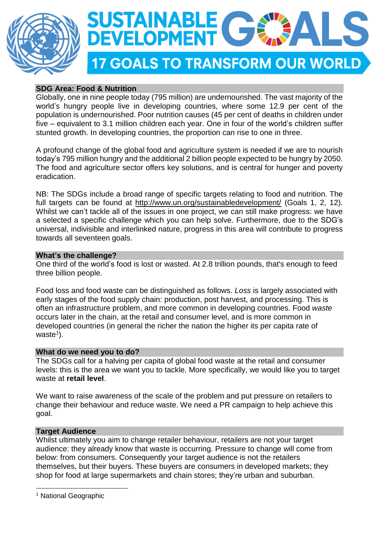



# **SDG Area: Food & Nutrition**

Globally, one in nine people today (795 million) are undernourished. The vast majority of the world's hungry people live in developing countries, where some 12.9 per cent of the population is undernourished. Poor nutrition causes (45 per cent of deaths in children under five – equivalent to 3.1 million children each year. One in four of the world's children suffer stunted growth. In developing countries, the proportion can rise to one in three.

A profound change of the global food and agriculture system is needed if we are to nourish today's 795 million hungry and the additional 2 billion people expected to be hungry by 2050. The food and agriculture sector offers key solutions, and is central for hunger and poverty eradication.

NB: The SDGs include a broad range of specific targets relating to food and nutrition. The full targets can be found at <http://www.un.org/sustainabledevelopment/> (Goals 1, 2, 12). Whilst we can't tackle all of the issues in one project, we can still make progress: we have a selected a specific challenge which you can help solve. Furthermore, due to the SDG's universal, indivisible and interlinked nature, progress in this area will contribute to progress towards all seventeen goals.

## **What's the challenge?**

One third of the world's food is lost or wasted. At 2.8 trillion pounds, that's enough to feed three billion people.

Food loss and food waste can be distinguished as follows. *Loss* is largely associated with early stages of the food supply chain: production, post harvest, and processing. This is often an infrastructure problem, and more common in developing countries. Food *waste* occurs later in the chain, at the retail and consumer level, and is more common in developed countries (in general the richer the nation the higher its per capita rate of waste<sup>1</sup>).

## **What do we need you to do?**

The SDGs call for a halving per capita of global food waste at the retail and consumer levels: this is the area we want you to tackle. More specifically, we would like you to target waste at **retail level**.

We want to raise awareness of the scale of the problem and put pressure on retailers to change their behaviour and reduce waste. We need a PR campaign to help achieve this goal.

## **Target Audience**

Whilst ultimately you aim to change retailer behaviour, retailers are not your target audience: they already know that waste is occurring. Pressure to change will come from below: from consumers. Consequently your target audience is not the retailers themselves, but their buyers. These buyers are consumers in developed markets; they shop for food at large supermarkets and chain stores; they're urban and suburban.

1

<sup>&</sup>lt;sup>1</sup> National Geographic